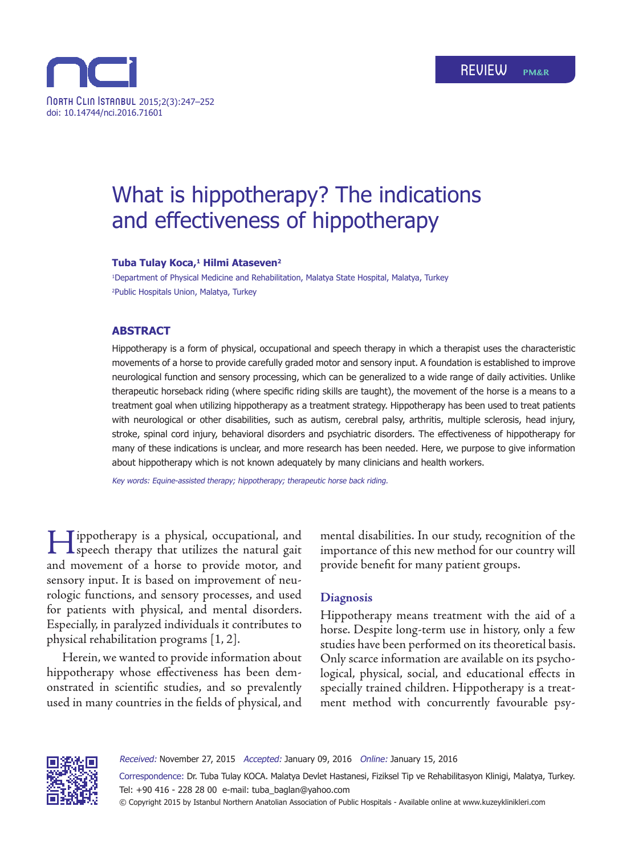

# What is hippotherapy? The indications and effectiveness of hippotherapy

#### **Tuba Tulay Koca,<sup>1</sup> Hilmi Ataseven<sup>2</sup>**

1 Department of Physical Medicine and Rehabilitation, Malatya State Hospital, Malatya, Turkey 2 Public Hospitals Union, Malatya, Turkey

#### **ABSTRACT**

Hippotherapy is a form of physical, occupational and speech therapy in which a therapist uses the characteristic movements of a horse to provide carefully graded motor and sensory input. A foundation is established to improve neurological function and sensory processing, which can be generalized to a wide range of daily activities. Unlike therapeutic horseback riding (where specific riding skills are taught), the movement of the horse is a means to a treatment goal when utilizing hippotherapy as a treatment strategy. Hippotherapy has been used to treat patients with neurological or other disabilities, such as autism, cerebral palsy, arthritis, multiple sclerosis, head injury, stroke, spinal cord injury, behavioral disorders and psychiatric disorders. The effectiveness of hippotherapy for many of these indications is unclear, and more research has been needed. Here, we purpose to give information about hippotherapy which is not known adequately by many clinicians and health workers.

Key words: Equine-assisted therapy; hippotherapy; therapeutic horse back riding.

Hippotherapy is a physical, occupational, and speech therapy that utilizes the natural gait and movement of a horse to provide motor, and sensory input. It is based on improvement of neurologic functions, and sensory processes, and used for patients with physical, and mental disorders. Especially, in paralyzed individuals it contributes to physical rehabilitation programs [1, 2].

Herein, we wanted to provide information about hippotherapy whose effectiveness has been demonstrated in scientific studies, and so prevalently used in many countries in the fields of physical, and mental disabilities. In our study, recognition of the importance of this new method for our country will provide benefit for many patient groups.

## **Diagnosis**

Hippotherapy means treatment with the aid of a horse. Despite long-term use in history, only a few studies have been performed on its theoretical basis. Only scarce information are available on its psychological, physical, social, and educational effects in specially trained children. Hippotherapy is a treatment method with concurrently favourable psy-



Received: November 27, 2015 Accepted: January 09, 2016 Online: January 15, 2016 Correspondence: Dr. Tuba Tulay Koca. Malatya Devlet Hastanesi, Fiziksel Tip ve Rehabilitasyon Klinigi, Malatya, Turkey. Tel: +90 416 - 228 28 00 e-mail: tuba\_baglan@yahoo.com © Copyright 2015 by Istanbul Northern Anatolian Association of Public Hospitals - Available online at www.kuzeyklinikleri.com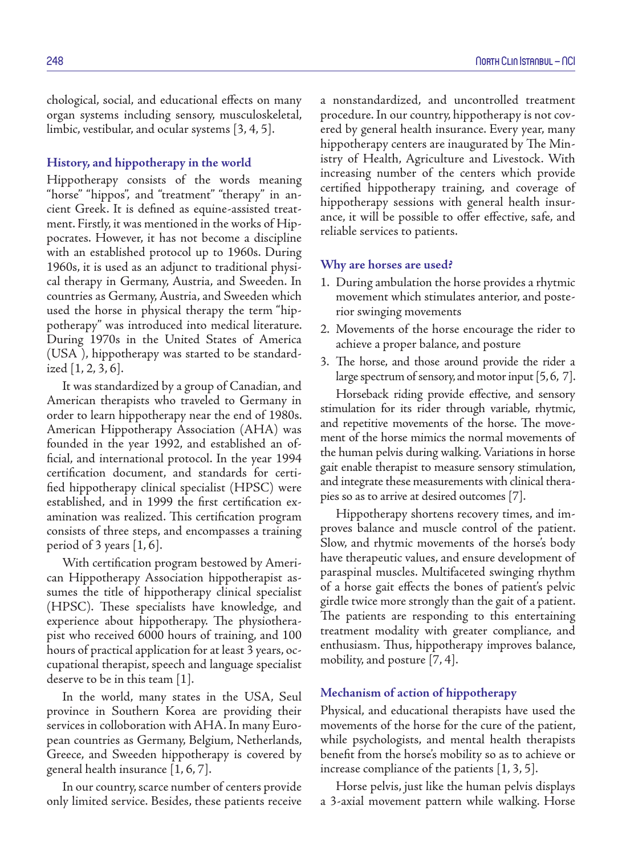chological, social, and educational effects on many organ systems including sensory, musculoskeletal, limbic, vestibular, and ocular systems [3, 4, 5].

#### **History, and hippotherapy in the world**

Hippotherapy consists of the words meaning "horse" "hippos", and "treatment" "therapy" in ancient Greek. It is defined as equine-assisted treatment. Firstly, it was mentioned in the works of Hippocrates. However, it has not become a discipline with an established protocol up to 1960s. During 1960s, it is used as an adjunct to traditional physical therapy in Germany, Austria, and Sweeden. In countries as Germany, Austria, and Sweeden which used the horse in physical therapy the term "hippotherapy" was introduced into medical literature. During 1970s in the United States of America (USA ), hippotherapy was started to be standardized [1, 2, 3, 6].

It was standardized by a group of Canadian, and American therapists who traveled to Germany in order to learn hippotherapy near the end of 1980s. American Hippotherapy Association (AHA) was founded in the year 1992, and established an official, and international protocol. In the year 1994 certification document, and standards for certified hippotherapy clinical specialist (HPSC) were established, and in 1999 the first certification examination was realized. This certification program consists of three steps, and encompasses a training period of 3 years  $[1, 6]$ .

With certification program bestowed by American Hippotherapy Association hippotherapist assumes the title of hippotherapy clinical specialist (HPSC). These specialists have knowledge, and experience about hippotherapy. The physiotherapist who received 6000 hours of training, and 100 hours of practical application for at least 3 years, occupational therapist, speech and language specialist deserve to be in this team [1].

In the world, many states in the USA, Seul province in Southern Korea are providing their services in colloboration with AHA. In many European countries as Germany, Belgium, Netherlands, Greece, and Sweeden hippotherapy is covered by general health insurance [1, 6, 7].

In our country, scarce number of centers provide only limited service. Besides, these patients receive a nonstandardized, and uncontrolled treatment procedure. In our country, hippotherapy is not covered by general health insurance. Every year, many hippotherapy centers are inaugurated by The Ministry of Health, Agriculture and Livestock. With increasing number of the centers which provide certified hippotherapy training, and coverage of hippotherapy sessions with general health insurance, it will be possible to offer effective, safe, and reliable services to patients.

#### **Why are horses are used?**

- 1. During ambulation the horse provides a rhytmic movement which stimulates anterior, and posterior swinging movements
- 2. Movements of the horse encourage the rider to achieve a proper balance, and posture
- 3. The horse, and those around provide the rider a large spectrum of sensory, and motor input [5, 6, 7].

Horseback riding provide effective, and sensory stimulation for its rider through variable, rhytmic, and repetitive movements of the horse. The movement of the horse mimics the normal movements of the human pelvis during walking. Variations in horse gait enable therapist to measure sensory stimulation, and integrate these measurements with clinical therapies so as to arrive at desired outcomes [7].

Hippotherapy shortens recovery times, and improves balance and muscle control of the patient. Slow, and rhytmic movements of the horse's body have therapeutic values, and ensure development of paraspinal muscles. Multifaceted swinging rhythm of a horse gait effects the bones of patient's pelvic girdle twice more strongly than the gait of a patient. The patients are responding to this entertaining treatment modality with greater compliance, and enthusiasm. Thus, hippotherapy improves balance, mobility, and posture [7, 4].

#### **Mechanism of action of hippotherapy**

Physical, and educational therapists have used the movements of the horse for the cure of the patient, while psychologists, and mental health therapists benefit from the horse's mobility so as to achieve or increase compliance of the patients [1, 3, 5].

Horse pelvis, just like the human pelvis displays a 3-axial movement pattern while walking. Horse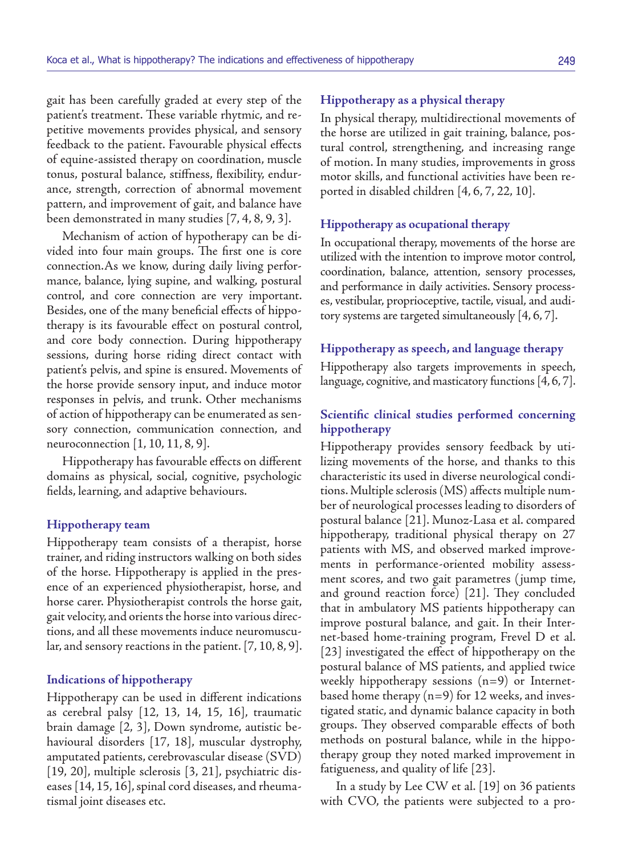gait has been carefully graded at every step of the patient's treatment. These variable rhytmic, and repetitive movements provides physical, and sensory feedback to the patient. Favourable physical effects of equine-assisted therapy on coordination, muscle tonus, postural balance, stiffness, flexibility, endurance, strength, correction of abnormal movement pattern, and improvement of gait, and balance have been demonstrated in many studies [7, 4, 8, 9, 3].

Mechanism of action of hypotherapy can be divided into four main groups. The first one is core connection.As we know, during daily living performance, balance, lying supine, and walking, postural control, and core connection are very important. Besides, one of the many beneficial effects of hippotherapy is its favourable effect on postural control, and core body connection. During hippotherapy sessions, during horse riding direct contact with patient's pelvis, and spine is ensured. Movements of the horse provide sensory input, and induce motor responses in pelvis, and trunk. Other mechanisms of action of hippotherapy can be enumerated as sensory connection, communication connection, and neuroconnection [1, 10, 11, 8, 9].

Hippotherapy has favourable effects on different domains as physical, social, cognitive, psychologic fields, learning, and adaptive behaviours.

#### **Hippotherapy team**

Hippotherapy team consists of a therapist, horse trainer, and riding instructors walking on both sides of the horse. Hippotherapy is applied in the presence of an experienced physiotherapist, horse, and horse carer. Physiotherapist controls the horse gait, gait velocity, and orients the horse into various directions, and all these movements induce neuromuscular, and sensory reactions in the patient. [7, 10, 8, 9].

#### **Indications of hippotherapy**

Hippotherapy can be used in different indications as cerebral palsy [12, 13, 14, 15, 16], traumatic brain damage [2, 3], Down syndrome, autistic behavioural disorders [17, 18], muscular dystrophy, amputated patients, cerebrovascular disease (SVD) [19, 20], multiple sclerosis [3, 21], psychiatric diseases [14, 15, 16], spinal cord diseases, and rheumatismal joint diseases etc.

# **Hippotherapy as a physical therapy**

In physical therapy, multidirectional movements of the horse are utilized in gait training, balance, postural control, strengthening, and increasing range of motion. In many studies, improvements in gross motor skills, and functional activities have been reported in disabled children [4, 6, 7, 22, 10].

#### **Hippotherapy as ocupational therapy**

In occupational therapy, movements of the horse are utilized with the intention to improve motor control, coordination, balance, attention, sensory processes, and performance in daily activities. Sensory processes, vestibular, proprioceptive, tactile, visual, and auditory systems are targeted simultaneously [4, 6, 7].

#### **Hippotherapy as speech, and language therapy**

Hippotherapy also targets improvements in speech, language, cognitive, and masticatory functions [4, 6, 7].

# **Scientific clinical studies performed concerning hippotherapy**

Hippotherapy provides sensory feedback by utilizing movements of the horse, and thanks to this characteristic its used in diverse neurological conditions. Multiple sclerosis (MS) affects multiple number of neurological processes leading to disorders of postural balance [21]. Munoz-Lasa et al. compared hippotherapy, traditional physical therapy on 27 patients with MS, and observed marked improvements in performance-oriented mobility assessment scores, and two gait parametres (jump time, and ground reaction force) [21]. They concluded that in ambulatory MS patients hippotherapy can improve postural balance, and gait. In their Internet-based home-training program, Frevel D et al. [23] investigated the effect of hippotherapy on the postural balance of MS patients, and applied twice weekly hippotherapy sessions (n=9) or Internetbased home therapy (n=9) for 12 weeks, and investigated static, and dynamic balance capacity in both groups. They observed comparable effects of both methods on postural balance, while in the hippotherapy group they noted marked improvement in fatigueness, and quality of life [23].

In a study by Lee CW et al. [19] on 36 patients with CVO, the patients were subjected to a pro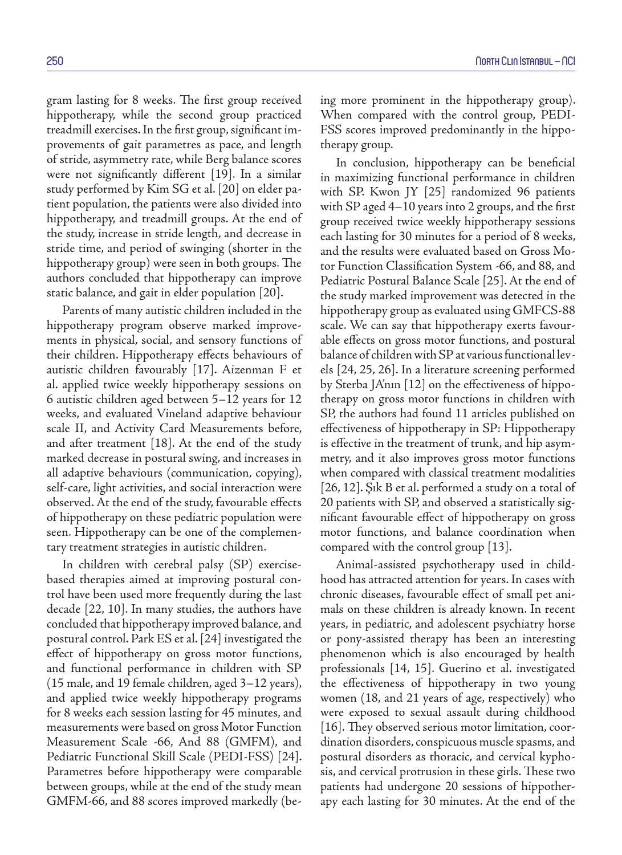gram lasting for 8 weeks. The first group received hippotherapy, while the second group practiced treadmill exercises. In the first group, significant improvements of gait parametres as pace, and length of stride, asymmetry rate, while Berg balance scores were not significantly different [19]. In a similar study performed by Kim SG et al. [20] on elder patient population, the patients were also divided into hippotherapy, and treadmill groups. At the end of the study, increase in stride length, and decrease in stride time, and period of swinging (shorter in the hippotherapy group) were seen in both groups. The authors concluded that hippotherapy can improve static balance, and gait in elder population [20].

Parents of many autistic children included in the hippotherapy program observe marked improvements in physical, social, and sensory functions of their children. Hippotherapy effects behaviours of autistic children favourably [17]. Aizenman F et al. applied twice weekly hippotherapy sessions on 6 autistic children aged between 5–12 years for 12 weeks, and evaluated Vineland adaptive behaviour scale II, and Activity Card Measurements before, and after treatment [18]. At the end of the study marked decrease in postural swing, and increases in all adaptive behaviours (communication, copying), self-care, light activities, and social interaction were observed. At the end of the study, favourable effects of hippotherapy on these pediatric population were seen. Hippotherapy can be one of the complementary treatment strategies in autistic children.

In children with cerebral palsy (SP) exercisebased therapies aimed at improving postural control have been used more frequently during the last decade [22, 10]. In many studies, the authors have concluded that hippotherapy improved balance, and postural control. Park ES et al. [24] investigated the effect of hippotherapy on gross motor functions, and functional performance in children with SP (15 male, and 19 female children, aged 3–12 years), and applied twice weekly hippotherapy programs for 8 weeks each session lasting for 45 minutes, and measurements were based on gross Motor Function Measurement Scale -66, And 88 (GMFM), and Pediatric Functional Skill Scale (PEDI-FSS) [24]. Parametres before hippotherapy were comparable between groups, while at the end of the study mean GMFM-66, and 88 scores improved markedly (being more prominent in the hippotherapy group). When compared with the control group, PEDI-FSS scores improved predominantly in the hippotherapy group.

In conclusion, hippotherapy can be beneficial in maximizing functional performance in children with SP. Kwon JY [25] randomized 96 patients with SP aged 4–10 years into 2 groups, and the first group received twice weekly hippotherapy sessions each lasting for 30 minutes for a period of 8 weeks, and the results were evaluated based on Gross Motor Function Classification System -66, and 88, and Pediatric Postural Balance Scale [25]. At the end of the study marked improvement was detected in the hippotherapy group as evaluated using GMFCS-88 scale. We can say that hippotherapy exerts favourable effects on gross motor functions, and postural balance of children with SP at various functional levels [24, 25, 26]. In a literature screening performed by Sterba JA'nın [12] on the effectiveness of hippotherapy on gross motor functions in children with SP, the authors had found 11 articles published on effectiveness of hippotherapy in SP: Hippotherapy is effective in the treatment of trunk, and hip asymmetry, and it also improves gross motor functions when compared with classical treatment modalities [26, 12]. Şık B et al. performed a study on a total of 20 patients with SP, and observed a statistically significant favourable effect of hippotherapy on gross motor functions, and balance coordination when compared with the control group [13].

Animal-assisted psychotherapy used in childhood has attracted attention for years. In cases with chronic diseases, favourable effect of small pet animals on these children is already known. In recent years, in pediatric, and adolescent psychiatry horse or pony-assisted therapy has been an interesting phenomenon which is also encouraged by health professionals [14, 15]. Guerino et al. investigated the effectiveness of hippotherapy in two young women (18, and 21 years of age, respectively) who were exposed to sexual assault during childhood [16]. They observed serious motor limitation, coordination disorders, conspicuous muscle spasms, and postural disorders as thoracic, and cervical kyphosis, and cervical protrusion in these girls. These two patients had undergone 20 sessions of hippotherapy each lasting for 30 minutes. At the end of the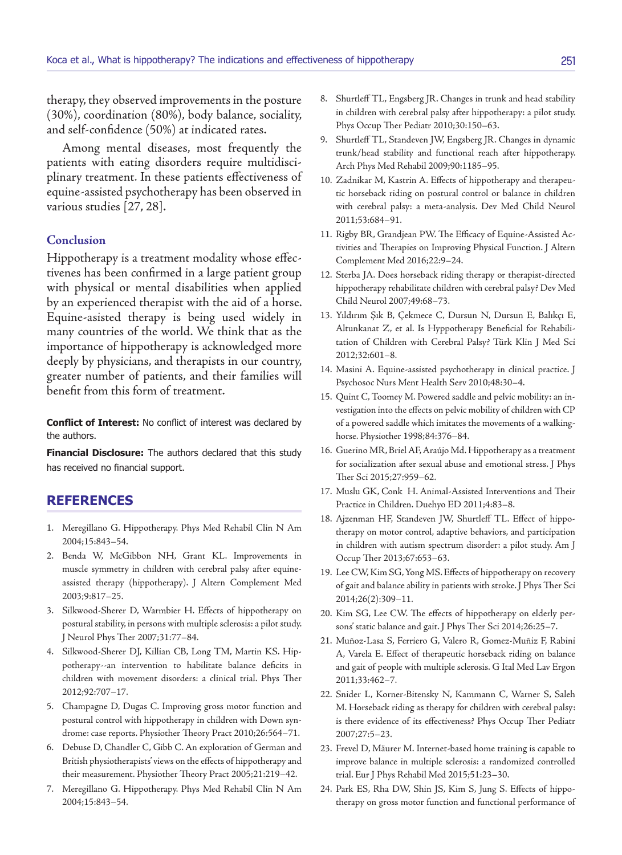therapy, they observed improvements in the posture (30%), coordination (80%), body balance, sociality, and self-confidence (50%) at indicated rates.

Among mental diseases, most frequently the patients with eating disorders require multidisciplinary treatment. In these patients effectiveness of equine-assisted psychotherapy has been observed in various studies [27, 28].

### **Conclusion**

Hippotherapy is a treatment modality whose effectivenes has been confirmed in a large patient group with physical or mental disabilities when applied by an experienced therapist with the aid of a horse. Equine-asisted therapy is being used widely in many countries of the world. We think that as the importance of hippotherapy is acknowledged more deeply by physicians, and therapists in our country, greater number of patients, and their families will benefit from this form of treatment.

**Conflict of Interest:** No conflict of interest was declared by the authors.

**Financial Disclosure:** The authors declared that this study has received no financial support.

## **REFERENCES**

- 1. Meregillano G. Hippotherapy. Phys Med Rehabil Clin N Am 2004;15:843–54.
- 2. Benda W, McGibbon NH, Grant KL. Improvements in muscle symmetry in children with cerebral palsy after equineassisted therapy (hippotherapy). J Altern Complement Med 2003;9:817–25.
- 3. Silkwood-Sherer D, Warmbier H. Effects of hippotherapy on postural stability, in persons with multiple sclerosis: a pilot study. J Neurol Phys Ther 2007;31:77–84.
- 4. Silkwood-Sherer DJ, Killian CB, Long TM, Martin KS. Hippotherapy--an intervention to habilitate balance deficits in children with movement disorders: a clinical trial. Phys Ther 2012;92:707–17.
- 5. Champagne D, Dugas C. Improving gross motor function and postural control with hippotherapy in children with Down syndrome: case reports. Physiother Theory Pract 2010;26:564–71.
- 6. Debuse D, Chandler C, Gibb C. An exploration of German and British physiotherapists' views on the effects of hippotherapy and their measurement. Physiother Theory Pract 2005;21:219–42.
- 7. Meregillano G. Hippotherapy. Phys Med Rehabil Clin N Am 2004;15:843–54.
- 8. Shurtleff TL, Engsberg JR. Changes in trunk and head stability in children with cerebral palsy after hippotherapy: a pilot study. Phys Occup Ther Pediatr 2010;30:150–63.
- 9. Shurtleff TL, Standeven JW, Engsberg JR. Changes in dynamic trunk/head stability and functional reach after hippotherapy. Arch Phys Med Rehabil 2009;90:1185–95.
- 10. Zadnikar M, Kastrin A. Effects of hippotherapy and therapeutic horseback riding on postural control or balance in children with cerebral palsy: a meta-analysis. Dev Med Child Neurol 2011;53:684–91.
- 11. Rigby BR, Grandjean PW. The Efficacy of Equine-Assisted Activities and Therapies on Improving Physical Function. J Altern Complement Med 2016;22:9–24.
- 12. Sterba JA. Does horseback riding therapy or therapist-directed hippotherapy rehabilitate children with cerebral palsy? Dev Med Child Neurol 2007;49:68–73.
- 13. Yıldırım Şık B, Çekmece C, Dursun N, Dursun E, Balıkçı E, Altunkanat Z, et al. Is Hyppotherapy Beneficial for Rehabilitation of Children with Cerebral Palsy? Türk Klin J Med Sci 2012;32:601–8.
- 14. Masini A. Equine-assisted psychotherapy in clinical practice. J Psychosoc Nurs Ment Health Serv 2010;48:30–4.
- 15. Quint C, Toomey M. Powered saddle and pelvic mobility: an investigation into the effects on pelvic mobility of children with CP of a powered saddle which imitates the movements of a walkinghorse. Physiother 1998;84:376–84.
- 16. Guerino MR, Briel AF, Araújo Md. Hippotherapy as a treatment for socialization after sexual abuse and emotional stress. J Phys Ther Sci 2015;27:959–62.
- 17. Muslu GK, Conk H. Animal-Assisted Interventions and Their Practice in Children. Duehyo ED 2011;4:83–8.
- 18. Ajzenman HF, Standeven JW, Shurtleff TL. Effect of hippotherapy on motor control, adaptive behaviors, and participation in children with autism spectrum disorder: a pilot study. Am J Occup Ther 2013;67:653–63.
- 19. Lee CW, Kim SG, Yong MS. Effects of hippotherapy on recovery of gait and balance ability in patients with stroke. J Phys Ther Sci 2014;26(2):309–11.
- 20. Kim SG, Lee CW. The effects of hippotherapy on elderly persons' static balance and gait. J Phys Ther Sci 2014;26:25–7.
- 21. Muñoz-Lasa S, Ferriero G, Valero R, Gomez-Muñiz F, Rabini A, Varela E. Effect of therapeutic horseback riding on balance and gait of people with multiple sclerosis. G Ital Med Lav Ergon 2011;33:462–7.
- 22. Snider L, Korner-Bitensky N, Kammann C, Warner S, Saleh M. Horseback riding as therapy for children with cerebral palsy: is there evidence of its effectiveness? Phys Occup Ther Pediatr 2007;27:5–23.
- 23. Frevel D, Mäurer M. Internet-based home training is capable to improve balance in multiple sclerosis: a randomized controlled trial. Eur J Phys Rehabil Med 2015;51:23–30.
- 24. Park ES, Rha DW, Shin JS, Kim S, Jung S. Effects of hippotherapy on gross motor function and functional performance of